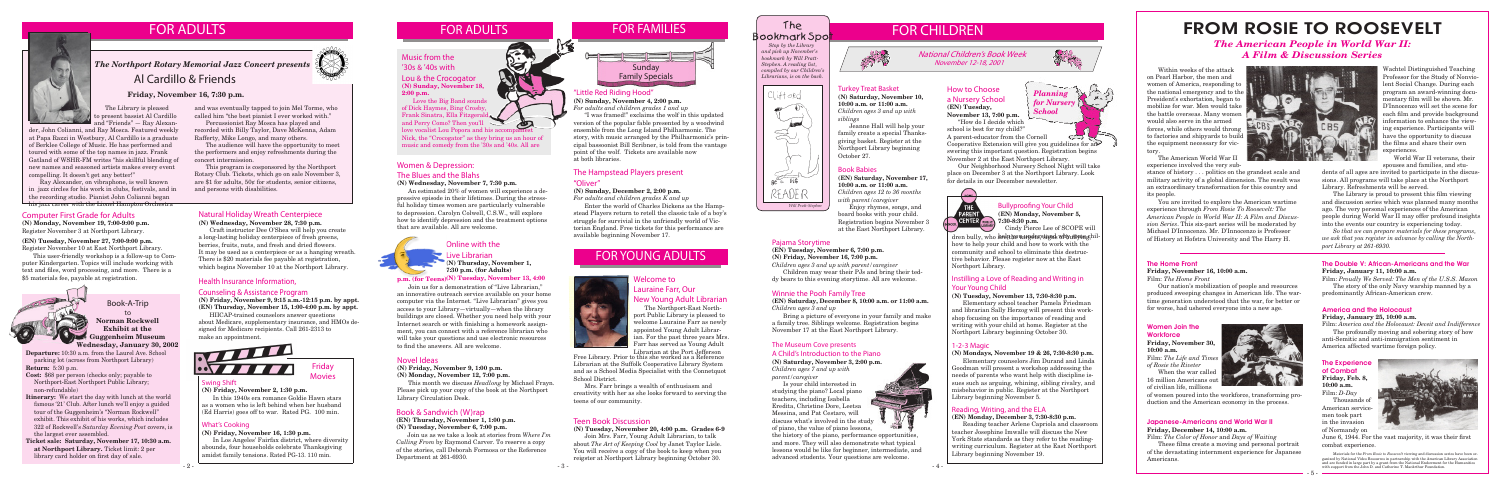#### Swing Shift

**(N) Friday, November 2, 1:30 p.m.**

**BV 7777** 

In this 1940s era romance Goldie Hawn stars as a women who is left behind when her husband (Ed Harris) goes off to war. Rated PG. 100 min.

Friday Movies

## FOR CHILDREN



### FOR YOUNG ADULTS



#### What's Cooking

**(N) Friday, November 16, 1:30 p.m.**

In Los Angeles' Fairfax district, where diversity abounds, four households celebrate Thanksgiving amidst family tensions. Rated PG-13. 110 min.

## FOR ADULTS

 *Stop by the Library and pick up November's bookmark by Will Pratt-Stephen. A reading list, compiled by our Children's Librarians, is on the back.*

### The Bookmark Spot



Health Insurance Information, Counseling & Assistance Program



### FOR FAMILIES

#### Novel Ideas

#### **(N) Friday, November 9, 1:00 p.m.**

**(N) Monday, November 12, 7:00 p.m.**

This month we discuss *Headlong* by Michael Frayn. Please pick up your copy of the book at the Northport Library Circulation Desk.

#### Book & Sandwich (W)rap

#### **(EN) Thursday, November 1, 1:00 p.m. (N) Tuesday, November 6, 7:00 p.m.**

dren bully, who are the varieter stand why some chilhow to help your child and how to work with the community and school to eliminate this destructive behavior. Please register now at the East Northport Library.

Join us as we take a look at stories from *Where I'm Calling From* by Raymond Carver. To reserve a copy of the stories, call Deborah Formosa or the Reference Department at 261-6930.

### Women & Depression:

#### The Blues and the Blahs

#### **(N) Wednesday, November 7, 7:30 p.m.**

An estimated 20% of women will experience a depressive episode in their lifetimes. During the stressful holiday times women are particularly vulnerable to depression. Carolyn Colwell, C.S.W., will explore how to identify depression and the treatment options that are available. All are welcome.

#### Instilling a Love of Reading and Writing in Your Young Child

#### **(N) Tuesday, November 13, 7:30-8:30 p.m.**

Elementary school teacher Pamela Friedman and librarian Sally Herzog will present this workshop focusing on the importance of reading and writing with your child at home. Register at the Northport Library beginning October 30.

Bullyproofing Your Child **(EN) Monday, November 5, 7:30-8:30 p.m.**

Cindy Pierce Lee of SCOPE will

#### 1-2-3 Magic

**(N) Mondays, November 19 & 26, 7:30-8:30 p.m.**

Elementary counselors Jim Durand and Linda Goodman will present a workshop addressing the needs of parents who want help with discipline issues such as arguing, whining, sibling rivalry, and misbehavior in public. Register at the Northport Library beginning November 5.

#### Reading, Writing, and the ELA

#### **(EN) Monday, December 3, 7:30-8:30 p.m.**

Reading teacher Arlene Capriola and classroom teacher Josephine Imwalle will discuss the New York State standards as they refer to the readingwriting curriculum. Register at the East Northport Library beginning November 19.

#### The Museum Cove presents A Child's Introduction to the Piano

**(N) Saturday, November 3, 2:00 p.m.** *Children ages 7 and up with parent/caregiver*

Is your child interested in studying the piano? Local piano teachers, including Isabella Eredita, Christine Dore, Leetsa Messina, and Pat Cestaro, will discuss what's involved in the study

of piano, the value of piano lessons, the history of the piano, performance opportunities, and more. They will also demonstrate what typical lessons would be like for beginner, intermediate, and

advanced students. Your questions are welcome.

#### The Hampstead Players present "Oliver"

#### **(N) Sunday, December 2, 2:00 p.m.**

*For adults and children grades K and up*

Enter the world of Charles Dickens as the Hampstead Players return to retell the classic tale of a boy's struggle for survivial in the unfriendly world of Victorian England. Free tickets for this performance are available beginning November 17.

### "Little Red Riding Hood"

**(N) Sunday, November 4, 2:00 p.m.**

*For adults and children grades 1 and up*

"I was framed!" exclaims the wolf in this updated version of the popular fable presented by a woodwind ensemble from the Long Island Philharmonic. The story, with music arranged by the Philharmonic's principal bassoonist Bill Scribner, is told from the vantage point of the wolf. Tickets are available now at both libraries.

### Al Cardillo & Friends

The Library is pleased to present bassist Al Cardillo and "Friends" — Ray Alexan-

#### **Friday, November 16, 7:30 p.m.**



**Departure:** 10:30 a.m. from the Laurel Ave. School parking lot (across from Northport Library) **Return:** 5:30 p.m.

#### Women Join the **Workforce**

- **Cost:** \$68 per person (checks only; payable to Northport-East Northport Public Library; non-refundable)
- **Itinerary:** We start the day with lunch at the world famous '21' Club. After lunch we'll enjoy a guided tour of the Guggenheim's "Norman Rockwell" exhibit. This exhibit of his works, which includes 322 of Rockwell's *Saturday Evening Post* covers, is the largest ever assembled.
- **Ticket sale: Saturday, November 17, 10:30 a.m. at Northport Library.** Ticket limit: 2 per library card holder on first day of sale.



Book-A-Trip

and Perry Como? Then you'll<br>love vocalist Lou Popora and his accompaniest Nick, the "Crocogator" as they bring us an hour of music and comedy from the '30s and '40s. All are

#### to **Norman Rockwell Exhibit at the Guggenheim Museum Wednesday, January 30, 2002**

The Northport-East Northport Public Library is pleased to welcome Lauraine Farr as newly appointed Young Adult Librarian. For the past three years Mrs. **Farr has served as Young Adult** 

Within weeks of the attack on Pearl Harbor, the men and women of America, responding to the national emergency and to the President's exhortation, began to mobilize for war. Men would take the battle overseas. Many women would also serve in the armed forces, while others would throng to factories and shipyards to build the equipment necessary for victory.

The American World War II experience involved the very sub-

### The Home Front

**Friday, November 16, 10:00 a.m.** Film: *The Home Front*

Our nation's mobilization of people and resources produced sweeping changes in American life. The wartime generation understood that the war, for better or for worse, had ushered everyone into a new age.

### FROM ROSIE TO ROOSEVELT *The American People in World War II: A Film & Discussion Series*

Materials for the *From Rosie to Roosevelt* viewing and discussion series have been organized by National Video Resources in partnership with the American Library Association and are funded in large part by a grant from the National Endowment for the Humanities with support from the John D. and Catherine T. MacArthur Foundation.

stance of history . . . politics on the grandest scale and military activity of a global dimension. The result was an extraordinary transformation for this country and its people.

You are invited to explore the American wartime experience through *From Rosie To Roosevelt: The American People in World War II: A Film and Discussion Series*. This six-part series will be moderated by Michael D'Innocenzo. Mr. D'Innocenzo is Professor of History at Hofstra University and The Harry H.

 $\sim$ Cooperative Extension will give you guidelines for answering this important question. Registration begins November 2 at the East Northport Library.

#### Computer First Grade for Adults

**(N) Monday, November 19, 7:00-9:00 p.m.** Register November 3 at Northport Library.

#### **(EN) Tuesday, November 27, 7:00-9:00 p.m.** Register November 10 at East Northport Library.

This user-friendly workshop is a follow-up to Computer Kindergarten. Topics will include working with text and files, word processing, and more. There is a \$5 materials fee, payable at registration.



Turkey Treat Basket **(N) Saturday, November 10, 10:00 a.m. or 11:00 a.m.** *Children ages 3 and up with siblings*

Jeanne Hall will help your family create a special Thanksgiving basket. Register at the Northport Library beginning October 27.

#### Pajama Storytime

**(EN) Tuesday, November 6, 7:00 p.m. (N) Friday, November 16, 7:00 p.m.** *Children ages 3 and up with parent/caregiver*

Children may wear their PJs and bring their teddy bears to this evening storytime. All are welcome.

#### Book Babies

**(EN) Saturday, November 17, 10:00 a.m. or 11:00 a.m.** *Children ages 12 to 36 months with parent/caregiver* Enjoy rhymes, songs, and

board books with your child. Registration begins November 3 at the East Northport Library.

#### Winnie the Pooh Family Tree

**(EN) Saturday, December 8, 10:00 a.m. or 11:00 a.m.** *Children ages 3 and up* 

Bring a picture of everyone in your family and make a family tree. Siblings welcome. Registration begins November 17 at the East Northport Library.

Wachtel Distinguished Teaching Professor for the Study of Nonviolent Social Change. During each program an award-winning documentary film will be shown. Mr. D'Innocenzo will set the scene for each film and provide background information to enhance the viewing experience. Participants will have the opportunity to discuss the films and share their own experiences.

World War II veterans, their spouses and families, and stu-

dents of all ages are invited to participate in the discussions. All programs will take place at the Northport Library. Refreshments will be served.

 The Library is proud to present this film viewing and discussion series which was planned many months ago. The very personal experiences of the American people during World War II may offer profound insights into the events our country is experiencing today.

*So that we can prepare materials for these programs, we ask that you register in advance by calling the Northport Library at 261-6930.*

#### The Experience of Combat **Friday, Feb. 8,**

**10:00 a.m.** Film: *D-Day*

Thousands of American servicemen took part in the invasion of Normandy on



#### America and the Holocaust

#### **Friday, January 25, 10:00 a.m.**

Film: *America and the Holocaust: Deceit and Indifference* The profoundly moving and sobering story of how anti-Semitic and anti-immigration sentiment in

America affected wartime foreign policy.

#### The Double V: African-Americans and the War **Friday, January 11, 10:00 a.m.**

Film: *Proudly We Served: The Men of the U.S.S. Mason* The story of the only Navy warship manned by a predominantly African-American crew.

**Friday, November 30, 10:00 a.m.** Film: *The Life and Times* 

*of Rosie the Riveter*

When the war called 16 million Americans out of civilian life, millions



of women poured into the workforce, transforming production and the American economy in the process.

> June 6, 1944. For the vast majority, it was their first combat experience.

### FOR ADULTS

F



*Planning for Nursery School*

#### Music from the '30s & '40s with Lou & the Crocogator

**(N) Sunday, November 18, 2:00 p.m.**

Love the Big Band sounds of Dick Haymes, Bing Crosby, Frank Sinatra, Ella Fitzgera and Perry Como? Then you'll

#### Welcome to Lauraine Farr, Our New Young Adult Librarian

Librarian at the Port Jefferson Free Library. Prior to this she worked as a Reference Librarian at the Suffolk Cooperative Library System and as a School Media Specialist with the Connetquot School District.

Mrs. Farr brings a wealth of enthusiasm and creativity with her as she looks forward to serving the teens of our community.

#### Japanese-Americans and World War II **Friday, December 14, 10:00 a.m.**

Film: *The Color of Honor* and *Days of Waiting*

 These films create a moving and personal portrait of the devastating internment experience for Japanese Americans.





#### Live Librarian

**(N) Thursday, November 1, 7:30 p.m. (for Adults)**

Natural Holiday Wreath Centerpiece **(N) Wednesday, November 28, 7:30 p.m.**

Craft instructor Dee O'Shea will help you create a long-lasting holiday centerpiece of fresh greens, berries, fruits, nuts, and fresh and dried flowers. It may be used as a centerpiece or as a hanging wreath. There is \$20 materials fee payable at registration, which begins November 10 at the Northport Library.

and was eventually tapped to join Mel Torme, who called him "the best pianist I ever worked with." Percussionist Ray Mosca has played and recorded with Billy Taylor, Dave McKenna, Adam

Rafferty, Mike Longo, and many others.

The audience will have the opportunity to meet the performers and enjoy refreshments during the

concert intermission.

This program is cosponsored by the Northport Rotary Club. Tickets, which go on sale November 3, are \$1 for adults, 50¢ for students, senior citizens,

and persons with disabilities.

der, John Colianni, and Ray Mosca. Featured weekly at Papa Razzi in Westbury, Al Cardillo is a graduate of Berklee College of Music. He has performed and toured with some of the top names in jazz. Frank Gatland of WSHR-FM writes "his skillful blending of new names and seasoned artists makes every event compelling. It doesn't get any better!"

#### **(N) Tuesday, November 13, 4:00 p.m. (for Teens)**

Ray Alexander, on vibraphone, is well known in jazz circles for his work in clubs, festivals, and in the recording studio. Pianist John Colianni began his jazz career with the Lionel Hampton Orchestra

#### National Children's Book Week November 12-18, 2001

#### Teen Book Discussion

**(N) Tuesday, November 20, 4:00 p.m. Grades 6-9**

Join Mrs. Farr, Young Adult Librarian, to talk about *The Art of Keeping Cool* by Janet Taylor Lisle. You will receive a copy of the book to keep when you reigster at Northport Library beginning October 30.



"How do I decide which school is best for my child?"

A parent-educator from the Cornell

Our Neighborhood Nursery School Night will take place on December 3 at the Northport Library. Look for details in our December newsletter.



Join us for a demonstration of "Live Librarian," an innovative outreach service available on your home computer via the Internet. "Live Librarian" gives you access to your Library—virtually—when the library buildings are closed. Whether you need help with your Internet search or with finishing a homework assignment, you can connect with a reference librarian who will take your questions and use electronic resources to find the answers. All are welcome.